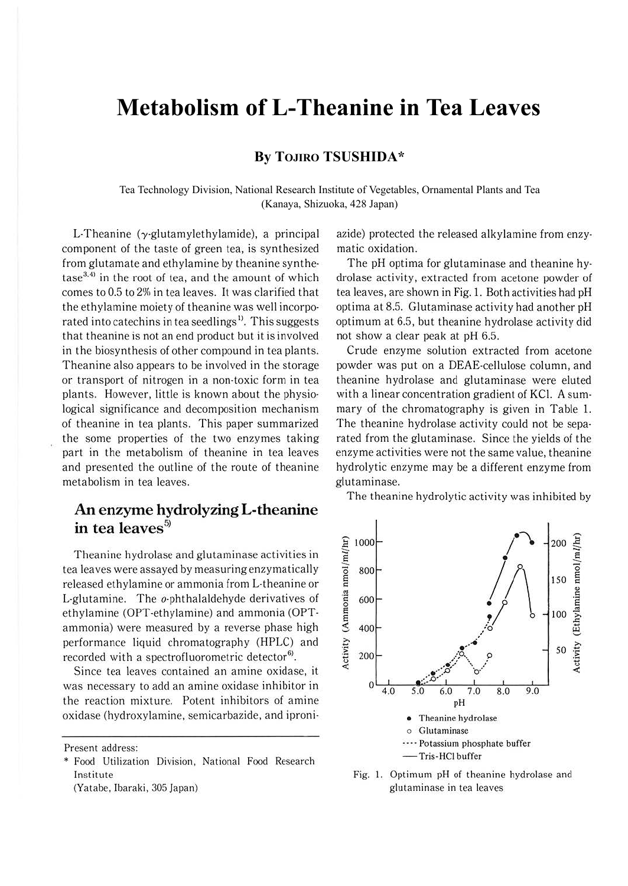# **Metabolism of L-Theanine in Tea Leaves**

### **By TOJIRO TSUSHIDA\***

Tea Technology Division, National Research Institute of Vegetables, Ornamental Plants and Tea (Kanaya, Shizuoka, 428 Japan)

L-Theanine (y·glutamylethylamide), a principal component of the taste of green tea, is synthesized from glutamate and ethylamine by theanine synthe- $\text{tase}^{3,4}$  in the root of tea, and the amount of which comes to 0.5 to 2% in tea leaves. It was clarified that the ethylamine moiety of theanine was well incorpo· rated into catechins in tea seedlings<sup>1)</sup>. This suggests that theanine is not an end product but it is involved in the biosynthesis of other compound in tea plants. Theanine also appears to be involved in the storage or transport of nitrogen in a non-toxic form in tea plants. However, little is known about the physio· logical significance and decomposition mechanism of theanine in tea plants. This paper summarized the some properties of the two enzymes taking part in the metabolism of theanine in tea leaves and presented the outline of the route of theanine metabolism in tea leaves.

# **An enzyme hydrolyzing L-theanine in tea leaves<sup>5</sup> >**

Theanine hydrolase and glutaminase activities in tea leaves were assayed by measuring enzymatically released ethylamine or ammonia from L-theanine or L-glutamine. The o-phthalaldehyde derivatives of ethylamine (OPT-ethylamine) and ammonia (OPTammonia) were measured by a reverse phase high performance liquid chromatography (HPLC) and recorded with a spectrofluorometric detector<sup>6)</sup>.

Since tea leaves contained an amine oxidase, it was necessary to add an amine oxidase inhibitor in the reaction mixture. Potent inhibitors of amine oxidase (hydroxylamine, semicarbazide, and iproni·

Present address:

(Yatabe, Ibaraki, 305 Japan)

azide) protected the released alkylamine from enzy. matic oxidation.

The pH optima for glutaminase and theanine hydrolase activity, extracted from acetone powder of tea leaves, are shown in Fig. 1. Both activities had pH optima at 8.5. Glutaminase activity had another pH optimum at 6.5, but theanine hydrolase activity did not show a clear peak at pH 6.5.

Crude enzyme solution extracted from acetone powder was put on a DEAE-cellulose column, and theanine hydrolase and glutaminase were eluted with a linear concentration gradient of KCI. A sum· mary of the chromatography is given in Table 1. The theanine hydrolase activity could not be sepa· rated from the glutaminase. Since the yields of the enzyme activities were not the same value, theanine hydrolytic enzyme may be a different enzyme from glutaminase.

The theanine hydrolytic activity was inhibited by



Fig. I. Optimum pH of theanine hydrolase and glutaminase in tea leaves

<sup>\*</sup> Food Utilization Division. National Food Research Institute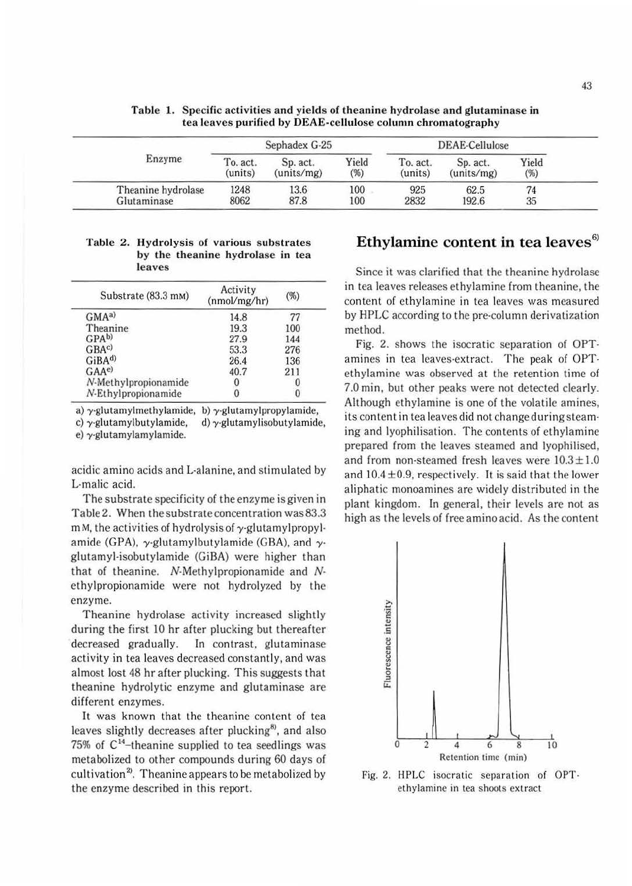|                    | Sephadex G-25 |            |        | DEAE-Cellulose |            |       |
|--------------------|---------------|------------|--------|----------------|------------|-------|
| Enzyme             | To. act.      | Sp. act.   | Yield  | To. act.       | Sp. act.   | Yield |
|                    | (units)       | (units/mg) | $(\%)$ | (units)        | (units/mg) | (%)   |
| Theanine hydrolase | 1248          | 13.6       | 100    | 925            | 62.5       | 74    |
| Glutaminase        | 8062          | 87.8       | 100    | 2832           | 192.6      | 35    |

**Table 1. Specific activities and yields of theanine hydrolase and glutaminase in tea leaves purified by DEAE-cellulose column chromatography** 

#### Table 2. Hydrolysis of various substrates by the **theanine hydrolase in** tea **leaves**

| Substrate (83.3 mm)  | Activity<br>(nmol/mg/hr) | $(\%)$ |  |
|----------------------|--------------------------|--------|--|
| GMA <sup>a</sup>     | 14.8                     |        |  |
| Theanine             | 19.3                     | 100    |  |
| GPA <sub>b</sub>     | 27.9                     | 144    |  |
| GBA <sup>c</sup>     | 53.3                     | 276    |  |
| GiBA <sup>d)</sup>   | 26.4                     | 136    |  |
| $GAA^{e}$            | 40.7                     | 211    |  |
| N-Methylpropionamide |                          |        |  |
| N-Ethylpropionamide  |                          |        |  |

a)  $\gamma$ -glutamylmethylamide, b)  $\gamma$ -glutamylpropylamide, c)  $\gamma$ -glutamylbutylamide, d)  $\gamma$ -glutamylisobutylamide,

e) y-glutamylamylamide.

acidic amino acids and L-alanine, and stimulated by L-malic acid.

The substrate specificity of the enzyme is given in Table 2. When the substrate concentration was83.3  $m$  M, the activities of hydrolysis of  $\gamma$ -glutamylpropylamide (GPA),  $\gamma$ -glutamylbutylamide (GBA), and  $\gamma$ glutamyl-isobutylamide (GiBA) were higher than that of theanine. N-Methylpropionamide and Nethylpropionamide were not hydrolyzed by the enzyme.

Theanine hydrolase activity increased slightly during the first 10 hr after plucking but thereafter decreased gradually. In contrast, glutaminase activity in tea leaves decreased constantly, and was almost lost 48 hr after plucking. This suggests that theanine hydrolytic enzyme and glutaminase are different enzymes.

It was known that the theanine content of tea leaves slightly decreases after plucking<sup>8)</sup>, and also 75% of C'<sup>4</sup> -theanine supplied to tea seedlings was metabolized to other compounds during 60 days of cultivation<sup>2</sup>. Theanine appears to be metabolized by the enzyme described in this report.

# **Ethylamine content in tea leaves<sup>6</sup> >**

Since it was clarified that the theanine hydrolase in tea leaves releases ethylamine from theanine, the content of ethylamine in tea leaves was measured by HPLC according to the pre-column derivatization method.

Fig. 2. shows the isocratic separation of OPTamines in tea leaves-extract. The peak of OPTethylamine was observed at the retention time of 7.0 min, but other peaks were not detected clearly. Although ethylamine is one of the volatile amines, its content in tea leaves did not change during steaming and lyophilisation. The contents of ethylamine prepared from the leaves steamed and lyophilised, and from non-steamed fresh leaves were  $10.3 \pm 1.0$ and  $10.4 \pm 0.9$ , respectively. It is said that the lower aliphatic monoamines are widely distributed in the plant kingdom. In general, their levels are not as high as the levels of free amino acid. As the content



Fig. 2. HPLC isocratic separation of OPTethylaminc in tea shoots extract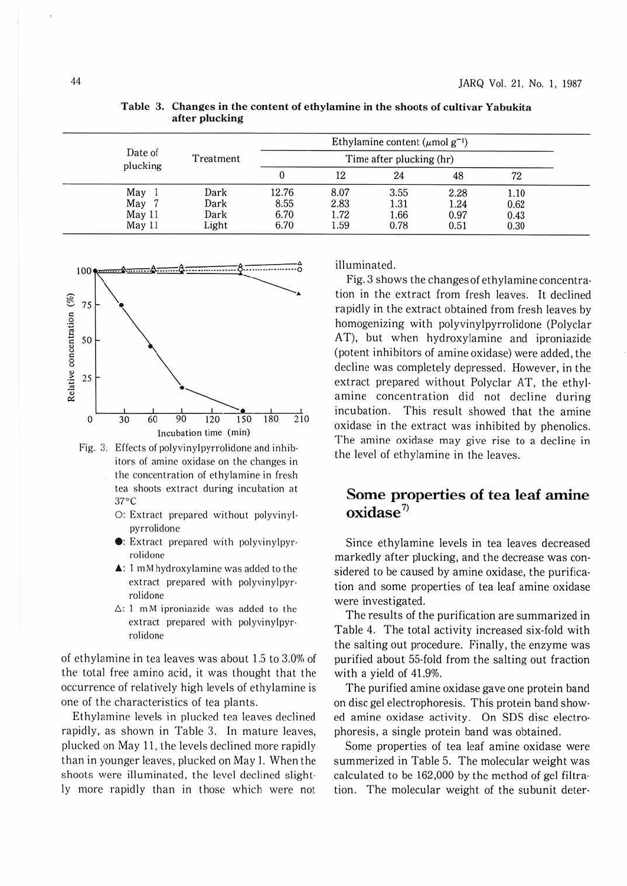|                     |           |                          |      | Ethylamine content ( $\mu$ mol $g^{-1}$ ) |      |      |
|---------------------|-----------|--------------------------|------|-------------------------------------------|------|------|
| Date of<br>plucking | Treatment | Time after plucking (hr) |      |                                           |      |      |
|                     |           |                          | 12   | 24                                        | 48   | 72   |
| May                 | Dark      | 12.76                    | 8.07 | 3.55                                      | 2.28 | 1.10 |
| May                 | Dark      | 8.55                     | 2.83 | 1.31                                      | 1.24 | 0.62 |
| $M$ ay 11           | Dark      | 6.70                     | 1.72 | 1.66                                      | 0.97 | 0.43 |
| May 11              | Light     | 6.70                     | 1.59 | 0.78                                      | 0.51 | 0.30 |

**Table 3. Changes in the content of ethylamine in the shoots of cultivar Yabukita after plucking** 



Fig. 3. Effects of polyvinylpyrrolidone and inhibitors of amine oxidase on the changes in the concentration or ethylamine in fresh tea shoots extract during incubation at 31°c

- O: Extract prepared without polyvinylpyrrolidone
- **e:** Extract prepared with polyvinylpyrrolidone
- $\triangle$ : 1 mM hydroxylamine was added to the extract prepared with polyvinylpyrrolidone
- $\Delta$ : 1 mM iproniazide was added to the extract prepared with polyvinylpyrrolidone

of ethylamine in tea leaves was about 1.5 to 3.0% of the total free amino acid, it was thought that the occurrence of relatively high levels of ethylamine is one of the characteristics of tea plants.

Ethylamine levels in plucked tea leaves declined rapidly, as shown in Table 3. In mature leaves, plucked on May 11, the levels declined more rapidly than in younger leaves, plucked on May 1. When the shoots were illuminated, the level declined slightly more rapidly than in those which were not illuminated.

Fig. 3 shows the changes of ethylamine concentra· tion in the extract from fresh leaves. It declined rapidly in the extract obtained from fresh leaves by homogenizing with polyvinylpyrrolidone (Polyclar AT), but when hydroxylamine and iproniazide (potent inhibitors of amine oxidase) were added, the decline was completely depressed. However, in the extract prepared without Polyclar AT, the ethylamine concentration did not decline during incubation. This result showed that the amine oxidase in the extract was inhibited by phenolics. The amine oxidase may give rise to a decline in the level of ethylamine in the leaves.

## **Some properties of tea leaf amine oxidase <sup>7</sup> >**

Since ethylamine levels in tea leaves decreased markedly after plucking, and the decrease was considered to be caused by amine oxidase, the purification and some properties of tea leaf amine oxidase were investigated.

The results of the purification are summarized in Table 4. The total activity increased six-fold with the salting out procedure. Finally, the enzyme was purified about 55-fold from the salting out fraction with a yield of 41.9%.

The purified amine oxidase gave one protein band on disc gel electrophoresis. This protein band showed amine oxidase activity. On SDS disc electrophoresis, a single protein band was obtained.

Some properties of tea leaf amine oxidase were summerized in Table 5. The molecular weight was calculated to be 162,000 by the method of gel filtration. The molecular weight of the subunit deter-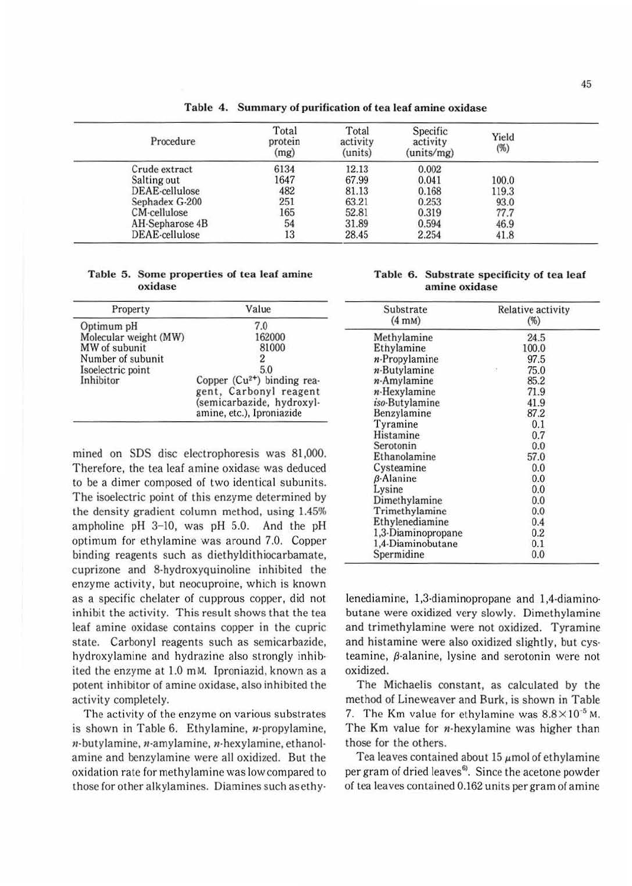| Procedure       | Total<br>protein<br>(mg) | Total<br>activity<br>(units) | Specific<br>activity<br>(units/mg) | Yield<br>$(\%)$ |  |
|-----------------|--------------------------|------------------------------|------------------------------------|-----------------|--|
| Crude extract   | 6134                     | 12.13                        | 0.002                              |                 |  |
| Salting out     | 1647                     | 67.99                        | 0.041                              | 100.0           |  |
| DEAE-cellulose  | 482                      | 81.13                        | 0.168                              | 119.3           |  |
| Sephadex G-200  | 251                      | 63.21                        | 0.253                              | 93.0            |  |
| CM-cellulose    | 165                      | 52.81                        | 0.319                              | 77.7            |  |
| AH-Sepharose 4B | 54                       | 31.89                        | 0.594                              | 46.9            |  |
| DEAE-cellulose  | 13                       | 28.45                        | 2.254                              | 41.8            |  |

**Table 4. Summary of purification of tea leaf amine oxidase** 

Table 5. Some properties of tea leaf amine oxidase

| Property              | Value                                                                            |
|-----------------------|----------------------------------------------------------------------------------|
| Optimum pH            | 7.0                                                                              |
| Molecular weight (MW) | 162000                                                                           |
| MW of subunit         | 81000                                                                            |
| Number of subunit     |                                                                                  |
| Isoelectric point     | 5.0                                                                              |
| Inhibitor             | Copper (Cu <sup>2+</sup> ) binding rea-                                          |
|                       | gent, Carbonyl reagent<br>(semicarbazide, hydroxyl-<br>amine, etc.), Iproniazide |

mined on SOS disc electrophoresis was 81,000. Therefore, the tea leaf amine oxidase was deduced to be a dimer composed of two identical subunits. The isoelectric point of this enzyme determined by the density gradient column method, using 1.45% ampholine pH 3-10, was pH 5.0. And the pH optimum for ethylamine was around 7.0. Copper binding reagents such as diethyldithiocarbamate, cuprizone and 8-hydroxyquinoline inhibited the enzyme activity, but neocuproine, which is known as a specific chelater of cupprous copper, did not inhibit the activity. This result shows that the tea leaf amine oxidase contains copper in the cupric state. Carbonyl reagents such as semicarbazidc, hydroxylamine and hydrazine also strongly inhib· ited the enzyme at 1.0 mM. lproniazid, known as a potent inhibitor of amine oxidase, also inhibited the activity completely.

The activity of the enzyme on various substrates is shown in Table 6. Ethylamine, n-propylamine,  $n$ -butylamine,  $n$ -amylamine,  $n$ -hexylamine, ethanolamine and benzylamine were all oxidized. But the oxidation rate for methylamine was low compared to those for other alkylamines. Diamines such asethy-

|  | Table 6. Substrate specificity of tea leaf |  |
|--|--------------------------------------------|--|
|  | amine oxidase                              |  |

| Substrate<br>$(4 \text{ mM})$ | Relative activity<br>$(\%)$ |  |  |
|-------------------------------|-----------------------------|--|--|
| Methylamine                   | 24.5                        |  |  |
| Ethylamine                    | 100.0                       |  |  |
| $n$ -Propylamine              | 97.5                        |  |  |
| $n$ -Butylamine               | 75.0<br>×                   |  |  |
| $n$ -Amylamine                | 85.2                        |  |  |
| $n$ -Hexylamine               | 71.9                        |  |  |
| iso-Butylamine                | 41.9                        |  |  |
| Benzylamine                   | 87.2                        |  |  |
| Tyramine                      | 0.1                         |  |  |
| Histamine                     | 0.7                         |  |  |
| Serotonin                     | 0.0                         |  |  |
| Ethanolamine                  | 57.0                        |  |  |
| Cysteamine                    | 0.0                         |  |  |
| <b>B-Alanine</b>              | 0.0                         |  |  |
| Lysine                        | 0.0                         |  |  |
| Dimethylamine                 | 0.0                         |  |  |
| Trimethylamine                | 0.0                         |  |  |
| Ethylenediamine               | 0.4                         |  |  |
| 1,3-Diaminopropane            | 0.2                         |  |  |
| 1,4-Diaminobutane             | 0.1                         |  |  |
| Spermidine                    | 0.0                         |  |  |

lenediamine, 1,3-diaminopropane and 1,4-diamino· butane were oxidized very slowly. Dimethylamine and trimethylamine were not oxidized. Tyramine and histamine were also oxidized slightly, but cysteamine,  $\beta$ -alanine, lysine and serotonin were not oxidized.

The Michaelis constant, as calculated by the method of Lineweaver and Burk, is shown in Table 7. The Km value for ethylamine was  $8.8 \times 10^{-5}$  M. The Km value for *n*-hexylamine was higher than those for the others.

Tea leaves contained about 15  $\mu$ mol of ethylamine per gram of dried leaves<sup>6</sup>. Since the acetone powder of tea leaves contained 0.162 units per gram of amine